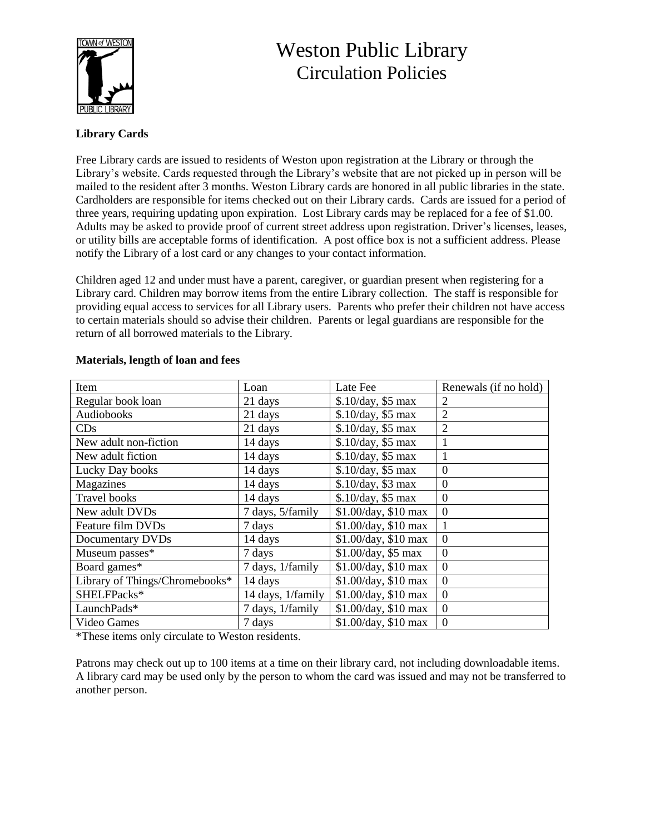

# Weston Public Library Circulation Policies

# **Library Cards**

Free Library cards are issued to residents of Weston upon registration at the Library or through the Library's website. Cards requested through the Library's website that are not picked up in person will be mailed to the resident after 3 months. Weston Library cards are honored in all public libraries in the state. Cardholders are responsible for items checked out on their Library cards. Cards are issued for a period of three years, requiring updating upon expiration. Lost Library cards may be replaced for a fee of \$1.00. Adults may be asked to provide proof of current street address upon registration. Driver's licenses, leases, or utility bills are acceptable forms of identification. A post office box is not a sufficient address. Please notify the Library of a lost card or any changes to your contact information.

Children aged 12 and under must have a parent, caregiver, or guardian present when registering for a Library card. Children may borrow items from the entire Library collection. The staff is responsible for providing equal access to services for all Library users. Parents who prefer their children not have access to certain materials should so advise their children. Parents or legal guardians are responsible for the return of all borrowed materials to the Library.

| Item                           | Loan              | Late Fee                          | Renewals (if no hold) |
|--------------------------------|-------------------|-----------------------------------|-----------------------|
| Regular book loan              | 21 days           | \$.10/day, \$5 max                | $\overline{2}$        |
| Audiobooks                     | 21 days           | \$.10/day, \$5 max                | $\overline{2}$        |
| CDs                            | 21 days           | \$.10/day, \$5 max                | $\overline{2}$        |
| New adult non-fiction          | 14 days           | \$.10/day, \$5 max                | 1                     |
| New adult fiction              | 14 days           | \$.10/day, \$5 max                | $\mathbf{1}$          |
| Lucky Day books                | 14 days           | \$.10/day, \$5 max                | $\mathbf{0}$          |
| Magazines                      | 14 days           | \$.10/day, \$3 max                | $\boldsymbol{0}$      |
| <b>Travel books</b>            | 14 days           | \$.10/day, \$5 max                | $\boldsymbol{0}$      |
| New adult DVDs                 | 7 days, 5/family  | \$1.00/day, \$10 max              | $\boldsymbol{0}$      |
| Feature film DVDs              | 7 days            | \$1.00/day, \$10 max              | 1                     |
| Documentary DVDs               | 14 days           | \$1.00/day, \$10 max              | $\boldsymbol{0}$      |
| Museum passes*                 | 7 days            | \$1.00/day, \$5 max               | $\overline{0}$        |
| Board games*                   | 7 days, 1/family  | \$1.00/day, \$10 max              | $\mathbf{0}$          |
| Library of Things/Chromebooks* | 14 days           | \$1.00/day, \$10 max              | $\overline{0}$        |
| SHELFPacks*                    | 14 days, 1/family | $\overline{$1.00}$ /day, \$10 max | $\overline{0}$        |
| LaunchPads*                    | 7 days, 1/family  | \$1.00/day, \$10 max              | $\mathbf{0}$          |
| Video Games                    | 7 days            | \$1.00/day, \$10 max              | $\overline{0}$        |

# **Materials, length of loan and fees**

\*These items only circulate to Weston residents.

Patrons may check out up to 100 items at a time on their library card, not including downloadable items. A library card may be used only by the person to whom the card was issued and may not be transferred to another person.